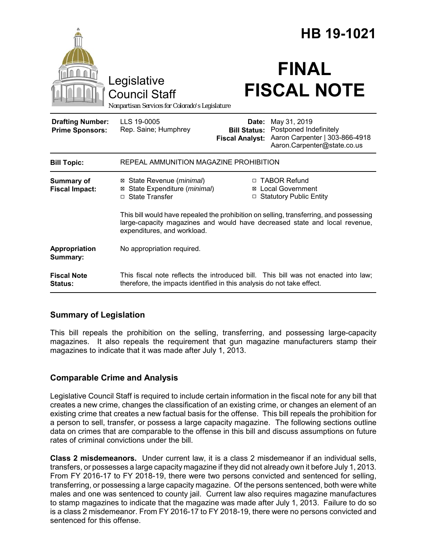|                                                   |                                                                                                                                                                                                     |                                                        | HB 19-1021                                                                                              |
|---------------------------------------------------|-----------------------------------------------------------------------------------------------------------------------------------------------------------------------------------------------------|--------------------------------------------------------|---------------------------------------------------------------------------------------------------------|
|                                                   | Legislative<br><b>Council Staff</b><br>Nonpartisan Services for Colorado's Legislature                                                                                                              |                                                        | <b>FINAL</b><br><b>FISCAL NOTE</b>                                                                      |
| <b>Drafting Number:</b><br><b>Prime Sponsors:</b> | LLS 19-0005<br>Rep. Saine; Humphrey                                                                                                                                                                 | Date:<br><b>Bill Status:</b><br><b>Fiscal Analyst:</b> | May 31, 2019<br>Postponed Indefinitely<br>Aaron Carpenter   303-866-4918<br>Aaron.Carpenter@state.co.us |
| <b>Bill Topic:</b>                                | REPEAL AMMUNITION MAGAZINE PROHIBITION                                                                                                                                                              |                                                        |                                                                                                         |
| <b>Summary of</b><br><b>Fiscal Impact:</b>        | ⊠ State Revenue ( <i>minimal</i> )<br>State Expenditure (minimal)<br>□ State Transfer                                                                                                               |                                                        | □ TABOR Refund<br><b>⊠</b> Local Government<br>□ Statutory Public Entity                                |
|                                                   | This bill would have repealed the prohibition on selling, transferring, and possessing<br>large-capacity magazines and would have decreased state and local revenue,<br>expenditures, and workload. |                                                        |                                                                                                         |
| Appropriation<br>Summary:                         | No appropriation required.                                                                                                                                                                          |                                                        |                                                                                                         |
| <b>Fiscal Note</b><br><b>Status:</b>              | therefore, the impacts identified in this analysis do not take effect.                                                                                                                              |                                                        | This fiscal note reflects the introduced bill. This bill was not enacted into law;                      |

## **Summary of Legislation**

This bill repeals the prohibition on the selling, transferring, and possessing large-capacity magazines. It also repeals the requirement that gun magazine manufacturers stamp their magazines to indicate that it was made after July 1, 2013.

## **Comparable Crime and Analysis**

Legislative Council Staff is required to include certain information in the fiscal note for any bill that creates a new crime, changes the classification of an existing crime, or changes an element of an existing crime that creates a new factual basis for the offense. This bill repeals the prohibition for a person to sell, transfer, or possess a large capacity magazine. The following sections outline data on crimes that are comparable to the offense in this bill and discuss assumptions on future rates of criminal convictions under the bill.

**Class 2 misdemeanors.** Under current law, it is a class 2 misdemeanor if an individual sells, transfers, or possesses a large capacity magazine if they did not already own it before July 1, 2013. From FY 2016-17 to FY 2018-19, there were two persons convicted and sentenced for selling, transferring, or possessing a large capacity magazine. Of the persons sentenced, both were white males and one was sentenced to county jail. Current law also requires magazine manufactures to stamp magazines to indicate that the magazine was made after July 1, 2013. Failure to do so is a class 2 misdemeanor. From FY 2016-17 to FY 2018-19, there were no persons convicted and sentenced for this offense.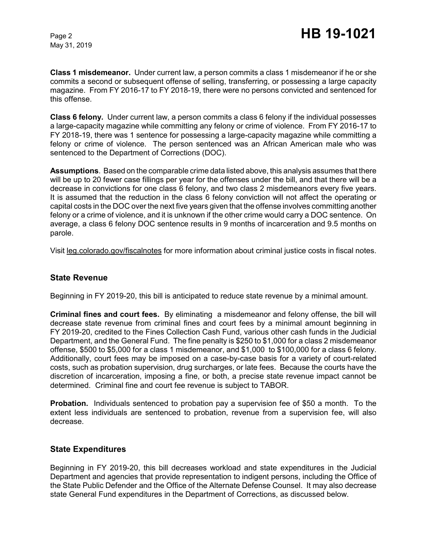May 31, 2019

**Class 1 misdemeanor.** Under current law, a person commits a class 1 misdemeanor if he or she commits a second or subsequent offense of selling, transferring, or possessing a large capacity magazine. From FY 2016-17 to FY 2018-19, there were no persons convicted and sentenced for this offense.

**Class 6 felony.** Under current law, a person commits a class 6 felony if the individual possesses a large-capacity magazine while committing any felony or crime of violence. From FY 2016-17 to FY 2018-19, there was 1 sentence for possessing a large-capacity magazine while committing a felony or crime of violence. The person sentenced was an African American male who was sentenced to the Department of Corrections (DOC).

**Assumptions**. Based on the comparable crime data listed above, this analysis assumes that there will be up to 20 fewer case fillings per year for the offenses under the bill, and that there will be a decrease in convictions for one class 6 felony, and two class 2 misdemeanors every five years. It is assumed that the reduction in the class 6 felony conviction will not affect the operating or capital costs in the DOC over the next five years given that the offense involves committing another felony or a crime of violence, and it is unknown if the other crime would carry a DOC sentence. On average, a class 6 felony DOC sentence results in 9 months of incarceration and 9.5 months on parole.

Visit leg.colorado.gov/fiscalnotes for more information about criminal justice costs in fiscal notes.

#### **State Revenue**

Beginning in FY 2019-20, this bill is anticipated to reduce state revenue by a minimal amount.

**Criminal fines and court fees.** By eliminating a misdemeanor and felony offense, the bill will decrease state revenue from criminal fines and court fees by a minimal amount beginning in FY 2019-20, credited to the Fines Collection Cash Fund, various other cash funds in the Judicial Department, and the General Fund. The fine penalty is \$250 to \$1,000 for a class 2 misdemeanor offense, \$500 to \$5,000 for a class 1 misdemeanor, and \$1,000 to \$100,000 for a class 6 felony. Additionally, court fees may be imposed on a case-by-case basis for a variety of court-related costs, such as probation supervision, drug surcharges, or late fees. Because the courts have the discretion of incarceration, imposing a fine, or both, a precise state revenue impact cannot be determined. Criminal fine and court fee revenue is subject to TABOR.

**Probation.** Individuals sentenced to probation pay a supervision fee of \$50 a month. To the extent less individuals are sentenced to probation, revenue from a supervision fee, will also decrease.

#### **State Expenditures**

Beginning in FY 2019-20, this bill decreases workload and state expenditures in the Judicial Department and agencies that provide representation to indigent persons, including the Office of the State Public Defender and the Office of the Alternate Defense Counsel. It may also decrease state General Fund expenditures in the Department of Corrections, as discussed below.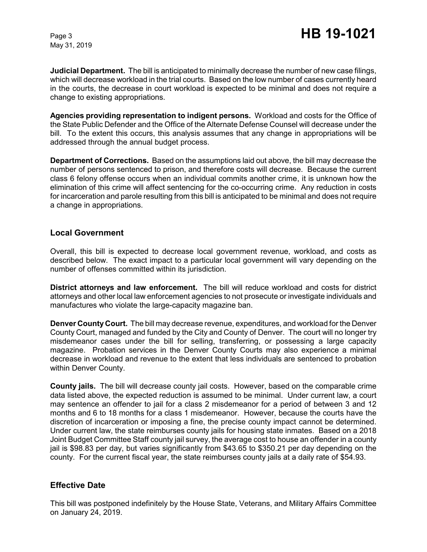May 31, 2019

**Judicial Department.** The bill is anticipated to minimally decrease the number of new case filings, which will decrease workload in the trial courts. Based on the low number of cases currently heard in the courts, the decrease in court workload is expected to be minimal and does not require a change to existing appropriations.

**Agencies providing representation to indigent persons.** Workload and costs for the Office of the State Public Defender and the Office of the Alternate Defense Counsel will decrease under the bill. To the extent this occurs, this analysis assumes that any change in appropriations will be addressed through the annual budget process.

**Department of Corrections.** Based on the assumptions laid out above, the bill may decrease the number of persons sentenced to prison, and therefore costs will decrease. Because the current class 6 felony offense occurs when an individual commits another crime, it is unknown how the elimination of this crime will affect sentencing for the co-occurring crime. Any reduction in costs for incarceration and parole resulting from this bill is anticipated to be minimal and does not require a change in appropriations.

#### **Local Government**

Overall, this bill is expected to decrease local government revenue, workload, and costs as described below. The exact impact to a particular local government will vary depending on the number of offenses committed within its jurisdiction.

**District attorneys and law enforcement.** The bill will reduce workload and costs for district attorneys and other local law enforcement agencies to not prosecute or investigate individuals and manufactures who violate the large-capacity magazine ban.

**Denver County Court.** The bill may decrease revenue, expenditures, and workload for the Denver County Court, managed and funded by the City and County of Denver. The court will no longer try misdemeanor cases under the bill for selling, transferring, or possessing a large capacity magazine. Probation services in the Denver County Courts may also experience a minimal decrease in workload and revenue to the extent that less individuals are sentenced to probation within Denver County.

**County jails.** The bill will decrease county jail costs. However, based on the comparable crime data listed above, the expected reduction is assumed to be minimal. Under current law, a court may sentence an offender to jail for a class 2 misdemeanor for a period of between 3 and 12 months and 6 to 18 months for a class 1 misdemeanor. However, because the courts have the discretion of incarceration or imposing a fine, the precise county impact cannot be determined. Under current law, the state reimburses county jails for housing state inmates. Based on a 2018 Joint Budget Committee Staff county jail survey, the average cost to house an offender in a county jail is \$98.83 per day, but varies significantly from \$43.65 to \$350.21 per day depending on the county. For the current fiscal year, the state reimburses county jails at a daily rate of \$54.93.

#### **Effective Date**

This bill was postponed indefinitely by the House State, Veterans, and Military Affairs Committee on January 24, 2019.